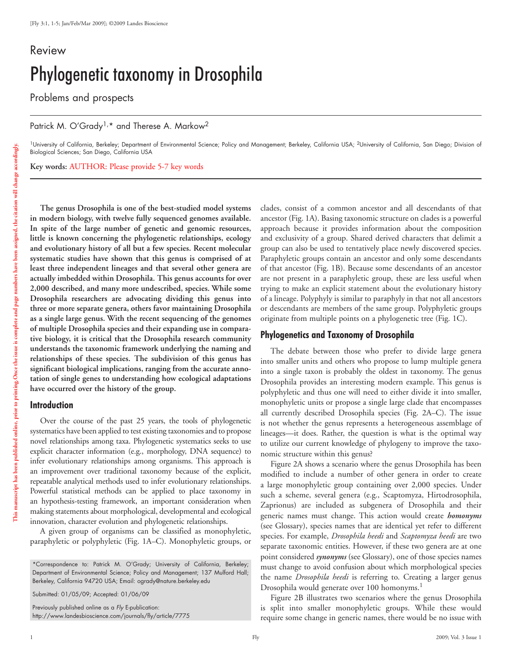# Review Phylogenetic taxonomy in Drosophila

Problems and prospects

Patrick M. O'Grady<sup>1,\*</sup> and Therese A. Markow<sup>2</sup>

<sup>1</sup>University of California, Berkeley; Department of Environmental Science; Policy and Management; Berkeley, California USA; <sup>2</sup>University of California, San Diego; Division of Biological Sciences; San Diego, California USA

**Key words:** AUTHOR: Please provide 5-7 key words

**The genus Drosophila is one of the best-studied model systems in modern biology, with twelve fully sequenced genomes available. In spite of the large number of genetic and genomic resources, little is known concerning the phylogenetic relationships, ecology and evolutionary history of all but a few species. Recent molecular systematic studies have shown that this genus is comprised of at least three independent lineages and that several other genera are actually imbedded within Drosophila. This genus accounts for over 2,000 described, and many more undescribed, species. While some Drosophila researchers are advocating dividing this genus into three or more separate genera, others favor maintaining Drosophila as a single large genus. With the recent sequencing of the genomes of multiple Drosophila species and their expanding use in comparative biology, it is critical that the Drosophila research community understands the taxonomic framework underlying the naming and relationships of these species. The subdivision of this genus has significant biological implications, ranging from the accurate annotation of single genes to understanding how ecological adaptations have occurred over the history of the group.**

## **Introduction**

Over the course of the past 25 years, the tools of phylogenetic systematics have been applied to test existing taxonomies and to propose novel relationships among taxa. Phylogenetic systematics seeks to use explicit character information (e.g., morphology, DNA sequence) to infer evolutionary relationships among organisms. This approach is an improvement over traditional taxonomy because of the explicit, repeatable analytical methods used to infer evolutionary relationships. Powerful statistical methods can be applied to place taxonomy in an hypothesis-testing framework, an important consideration when making statements about morphological, developmental and ecological innovation, character evolution and phylogenetic relationships.

A given group of organisms can be classified as monophyletic, paraphyletic or polyphyletic (Fig. 1A–C). Monophyletic groups, or

Submitted: 01/05/09; Accepted: 01/06/09

Previously published online as a *Fly* E-publication: http://www.landesbioscience.com/journals/fly/article/7775 clades, consist of a common ancestor and all descendants of that ancestor (Fig. 1A). Basing taxonomic structure on clades is a powerful approach because it provides information about the composition and exclusivity of a group. Shared derived characters that delimit a group can also be used to tentatively place newly discovered species. Paraphyletic groups contain an ancestor and only some descendants of that ancestor (Fig. 1B). Because some descendants of an ancestor are not present in a paraphyletic group, these are less useful when trying to make an explicit statement about the evolutionary history of a lineage. Polyphyly is similar to paraphyly in that not all ancestors or descendants are members of the same group. Polyphyletic groups originate from multiple points on a phylogenetic tree (Fig. 1C).

## **Phylogenetics and Taxonomy of Drosophila**

The debate between those who prefer to divide large genera into smaller units and others who propose to lump multiple genera into a single taxon is probably the oldest in taxonomy. The genus Drosophila provides an interesting modern example. This genus is polyphyletic and thus one will need to either divide it into smaller, monophyletic units or propose a single large clade that encompasses all currently described Drosophila species (Fig. 2A–C). The issue is not whether the genus represents a heterogeneous assemblage of lineages—it does. Rather, the question is what is the optimal way to utilize our current knowledge of phylogeny to improve the taxonomic structure within this genus?

Figure 2A shows a scenario where the genus Drosophila has been modified to include a number of other genera in order to create a large monophyletic group containing over 2,000 species. Under such a scheme, several genera (e.g., Scaptomyza, Hirtodrosophila, Zaprionus) are included as subgenera of Drosophila and their generic names must change. This action would create *homonyms* (see Glossary), species names that are identical yet refer to different species. For example, *Drosophila heedi* and *Scaptomyza heedi* are two separate taxonomic entities. However, if these two genera are at one point considered *synonyms* (see Glossary), one of those species names must change to avoid confusion about which morphological species the name *Drosophila heedi* is referring to. Creating a larger genus Drosophila would generate over 100 homonyms.<sup>1</sup>

Figure 2B illustrates two scenarios where the genus Drosophila is split into smaller monophyletic groups. While these would require some change in generic names, there would be no issue with

<sup>\*</sup>Correspondence to: Patrick M. O'Grady; University of California, Berkeley; Department of Environmental Science; Policy and Management; 137 Mulford Hall; Berkeley, California 94720 USA; Email: ogrady@nature.berkeley.edu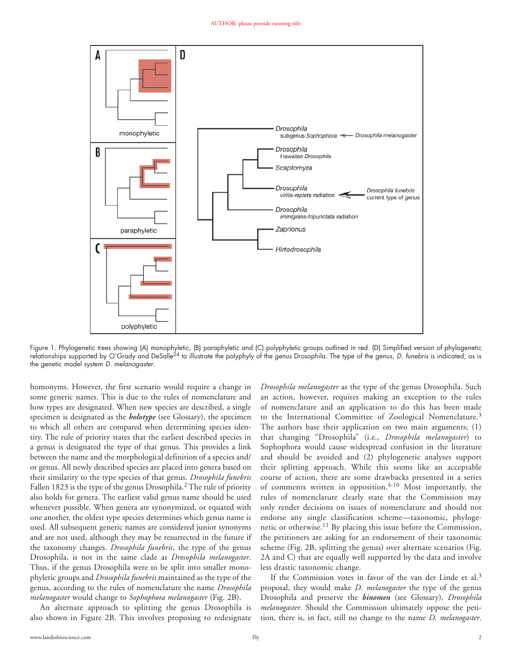

Figure 1. Phylogenetic trees showing (A) monophyletic, (B) paraphyletic and (C) polyphyletic groups outlined in red. (D) Simplified version of phylogenetic relationships supported by O'Grady and DeSalle24 to illustrate the polyphyly of the genus Drosophila. The type of the genus, *D. funebris* is indicated, as is the genetic model system *D. melanogaster*.

homonyms. However, the first scenario would require a change in some generic names. This is due to the rules of nomenclature and how types are designated. When new species are described, a single specimen is designated as the *holotype* (see Glossary), the specimen to which all others are compared when determining species identity. The rule of priority states that the earliest described species in a genus is designated the type of that genus. This provides a link between the name and the morphological definition of a species and/ or genus. All newly described species are placed into genera based on their similarity to the type species of that genus. *Drosophila funebris* Fallen 1823 is the type of the genus Drosophila.<sup>2</sup> The rule of priority also holds for genera. The earliest valid genus name should be used whenever possible. When genera are synonymized, or equated with one another, the oldest type species determines which genus name is used. All subsequent generic names are considered junior synonyms and are not used, although they may be resurrected in the future if the taxonomy changes. *Drosophila funebris*, the type of the genus Drosophila, is not in the same clade as *Drosophila melanogaster*. Thus, if the genus Drosophila were to be split into smaller monophyletic groups and *Drosophila funebris* maintained as the type of the genus, according to the rules of nomenclature the name *Drosophila melanogaster* would change to *Sophophora melanogaster* (Fig. 2B).

An alternate approach to splitting the genus Drosophila is also shown in Figure 2B. This involves proposing to redesignate *Drosophila melanogaster* as the type of the genus Drosophila. Such an action, however, requires making an exception to the rules of nomenclature and an application to do this has been made to the International Committee of Zoological Nomenclature.<sup>3</sup> The authors base their application on two main arguments; (1) that changing "Drosophila" (i.e., *Drosophila melanogaster*) to Sophophora would cause widespread confusion in the literature and should be avoided and (2) phylogenetic analyses support their splitting approach. While this seems like an acceptable course of action, there are some drawbacks presented in a series of comments written in opposition.4-10 Most importantly, the rules of nomenclature clearly state that the Commission may only render decisions on issues of nomenclature and should not endorse any single classification scheme—taxonomic, phylogenetic or otherwise.11 By placing this issue before the Commission, the petitioners are asking for an endorsement of their taxonomic scheme (Fig. 2B, splitting the genus) over alternate scenarios (Fig. 2A and C) that are equally well supported by the data and involve less drastic taxonomic change.

If the Commission votes in favor of the van der Linde et al.<sup>3</sup> proposal, they would make *D. melanogaster* the type of the genus Drosophila and preserve the *binomen* (see Glossary), *Drosophila melanogaster*. Should the Commission ultimately oppose the petition, there is, in fact, still no change to the name *D. melanogaster*.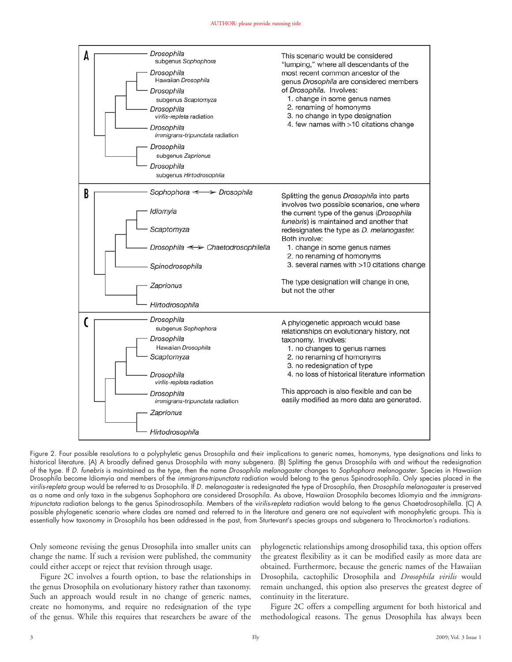

Figure 2. Four possible resolutions to a polyphyletic genus Drosophila and their implications to generic names, homonyms, type designations and links to historical literature. (A) A broadly defined genus Drosophila with many subgenera. (B) Splitting the genus Drosophila with and without the redesignation of the type. If *D. funebris* is maintained as the type, then the name *Drosophila melanogaster* changes to *Sophophora melanogaster*. Species in Hawaiian Drosophila become Idiomyia and members of the *immigrans-tripunctata* radiation would belong to the genus Spinodrosophila. Only species placed in the *virilis-repleta* group would be referred to as Drosophila. If *D. melanogaster* is redesignated the type of Drosophila, then *Drosophila melanogaster* is preserved as a name and only taxa in the subgenus Sophophora are considered Drosophila. As above, Hawaiian Drosophila becomes Idiomyia and the *immigranstripunctata* radiation belongs to the genus Spinodrosophila. Members of the *virilis-repleta* radiation would belong to the genus Chaetodrosophilella. (C) A possible phylogenetic scenario where clades are named and referred to in the literature and genera are not equivalent with monophyletic groups. This is essentially how taxonomy in Drosophila has been addressed in the past, from Sturtevant's species groups and subgenera to Throckmorton's radiations.

Only someone revising the genus Drosophila into smaller units can change the name. If such a revision were published, the community could either accept or reject that revision through usage.

Figure 2C involves a fourth option, to base the relationships in the genus Drosophila on evolutionary history rather than taxonomy. Such an approach would result in no change of generic names, create no homonyms, and require no redesignation of the type of the genus. While this requires that researchers be aware of the phylogenetic relationships among drosophilid taxa, this option offers the greatest flexibility as it can be modified easily as more data are obtained. Furthermore, because the generic names of the Hawaiian Drosophila, cactophilic Drosophila and *Drosophila virilis* would remain unchanged, this option also preserves the greatest degree of continuity in the literature.

Figure 2C offers a compelling argument for both historical and methodological reasons. The genus Drosophila has always been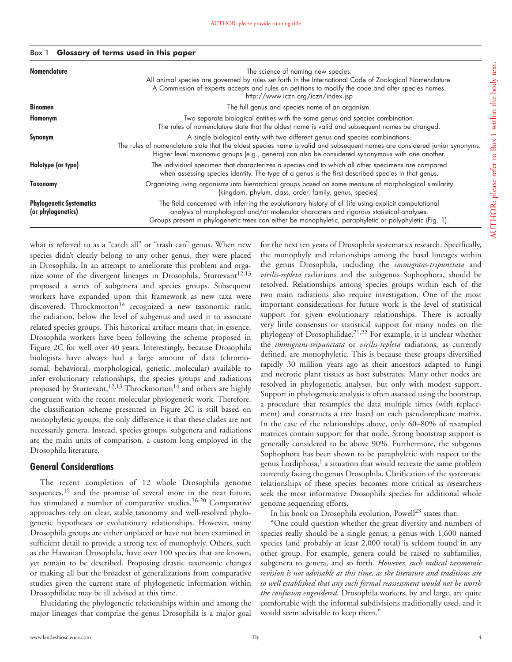### Box 1 **Glossary of terms used in this paper**

| <b>Nomenclature</b>                                   | The science of naming new species.<br>All animal species are governed by rules set forth in the International Code of Zoological Nomenclature.<br>A Commission of experts accepts and rules on petitions to modify the code and alter species names.<br>http://www.iczn.org/iczn/index.jsp                      |
|-------------------------------------------------------|-----------------------------------------------------------------------------------------------------------------------------------------------------------------------------------------------------------------------------------------------------------------------------------------------------------------|
| <b>Binomen</b>                                        | The full genus and species name of an organism.                                                                                                                                                                                                                                                                 |
| Homonym                                               | Two separate biological entities with the same genus and species combination.<br>The rules of nomenclature state that the oldest name is valid and subsequent names be changed.                                                                                                                                 |
| Synonym                                               | A single biological entity with two different genus and species combinations.<br>The rules of nomenclature state that the oldest species name is valid and subsequent names are considered junior synonyms.<br>Higher level taxonomic groups (e.g., genera) can also be considered synonymous with one another. |
| Holotype (or type)                                    | The individual specimen that characterizes a species and to which all other specimens are compared<br>when assessing species identity. The type of a genus is the first described species in that genus.                                                                                                        |
| <b>Taxonomy</b>                                       | Organizing living organisms into hierarchical groups based on some measure of morphological similarity<br>(kingdom, phylum, class, order, family, genus, species).                                                                                                                                              |
| <b>Phylogenetic Systematics</b><br>(or phylogenetics) | The field concerned with inferring the evolutionary history of all life using explicit computational<br>analysis of morphological and/or molecular characters and rigorous statistical analyses.<br>Groups present in phylogenetic trees can either be monophyletic, paraphyletic or polyphyletic (Fig. 1).     |

what is referred to as a "catch all" or "trash can" genus. When new species didn't clearly belong to any other genus, they were placed in Drosophila. In an attempt to ameliorate this problem and organize some of the divergent lineages in Drosophila, Sturtevant<sup>12,13</sup> proposed a series of subgenera and species groups. Subsequent workers have expanded upon this framework as new taxa were discovered. Throckmorton<sup>14</sup> recognized a new taxonomic rank, the radiation, below the level of subgenus and used it to associate related species groups. This historical artifact means that, in essence, Drosophila workers have been following the scheme proposed in Figure 2C for well over 40 years. Interestingly, because Drosophila biologists have always had a large amount of data (chromosomal, behavioral, morphological, genetic, molecular) available to infer evolutionary relationships, the species groups and radiations proposed by Sturtevant,<sup>12,13</sup> Throckmorton<sup>14</sup> and others are highly congruent with the recent molecular phylogenetic work. Therefore, the classification scheme presented in Figure 2C is still based on monophyletic groups; the only difference is that these clades are not necessarily genera. Instead, species groups, subgenera and radiations are the main units of comparison, a custom long employed in the Drosophila literature.

## **General Considerations**

The recent completion of 12 whole Drosophila genome sequences,<sup>15</sup> and the promise of several more in the near future, has stimulated a number of comparative studies.16-20 Comparative approaches rely on clear, stable taxonomy and well-resolved phylogenetic hypotheses or evolutionary relationships. However, many Drosophila groups are either unplaced or have not been examined in sufficient detail to provide a strong test of monophyly. Others, such as the Hawaiian Drosophila, have over 100 species that are known, yet remain to be described. Proposing drastic taxonomic changes or making all but the broadest of generalizations from comparative studies given the current state of phylogenetic information within Drosophilidae may be ill advised at this time.

Elucidating the phylogenetic relationships within and among the major lineages that comprise the genus Drosophila is a major goal for the next ten years of Drosophila systematics research. Specifically, the monophyly and relationships among the basal lineages within the genus Drosophila, including the *immigrans-tripunctata* and *virilis-repleta* radiations and the subgenus Sophophora, should be resolved. Relationships among species groups within each of the two main radiations also require investigation. One of the most important considerations for future work is the level of statistical support for given evolutionary relationships. There is actually very little consensus or statistical support for many nodes on the phylogeny of Drosophilidae.<sup>21,22</sup> For example, it is unclear whether the *immigrans-tripunctata* or *virilis-repleta* radiations, as currently defined, are monophyletic. This is because these groups diversified rapidly 30 million years ago as their ancestors adapted to fungi and necrotic plant tissues as host substrates. Many other nodes are resolved in phylogenetic analyses, but only with modest support. Support in phylogenetic analysis is often assessed using the bootstrap, a procedure that resamples the data multiple times (with replacement) and constructs a tree based on each pseudoreplicate matrix. In the case of the relationships above, only 60–80% of resampled matrices contain support for that node. Strong bootstrap support is generally considered to be above 90%. Furthermore, the subgenus Sophophora has been shown to be paraphyletic with respect to the genus Lordiphosa,<sup>1</sup> a situation that would recreate the same problem currently facing the genus Drosophila. Clarification of the systematic relationships of these species becomes more critical as researchers seek the most informative Drosophila species for additional whole genome sequencing efforts.

In his book on Drosophila evolution, Powell<sup>23</sup> states that:

"One could question whether the great diversity and numbers of species really should be a single genus; a genus with 1,600 named species (and probably at least 2,000 total) is seldom found in any other group. For example, genera could be raised to subfamilies, subgenera to genera, and so forth. *However, such radical taxonomic revision is not advisable at this time, as the literature and traditions are so well established that any such formal reassessment would not be worth the confusion engendered.* Drosophila workers, by and large, are quite comfortable with the informal subdivisions traditionally used, and it would seem advisable to keep them."